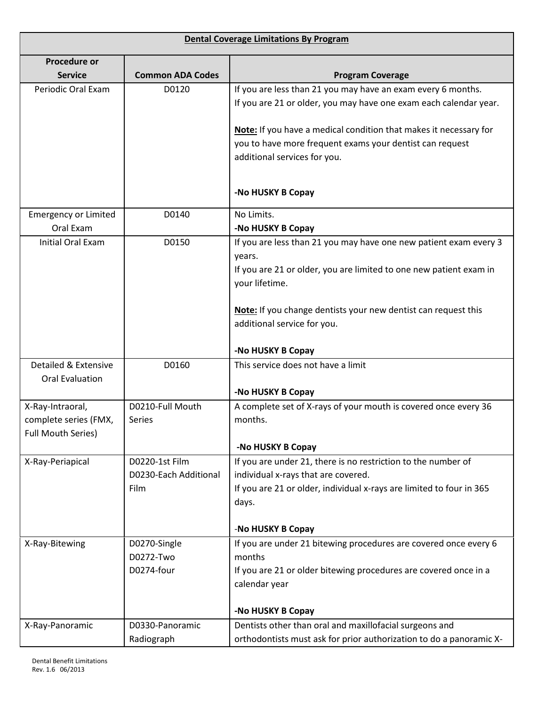| <b>Dental Coverage Limitations By Program</b> |                         |                                                                      |
|-----------------------------------------------|-------------------------|----------------------------------------------------------------------|
| <b>Procedure or</b>                           |                         |                                                                      |
| <b>Service</b>                                | <b>Common ADA Codes</b> | <b>Program Coverage</b>                                              |
| Periodic Oral Exam                            | D0120                   | If you are less than 21 you may have an exam every 6 months.         |
|                                               |                         | If you are 21 or older, you may have one exam each calendar year.    |
|                                               |                         |                                                                      |
|                                               |                         | Note: If you have a medical condition that makes it necessary for    |
|                                               |                         | you to have more frequent exams your dentist can request             |
|                                               |                         | additional services for you.                                         |
|                                               |                         |                                                                      |
|                                               |                         | -No HUSKY B Copay                                                    |
| <b>Emergency or Limited</b>                   | D0140                   | No Limits.                                                           |
| Oral Exam                                     |                         | -No HUSKY B Copay                                                    |
| <b>Initial Oral Exam</b>                      | D0150                   | If you are less than 21 you may have one new patient exam every 3    |
|                                               |                         | years.                                                               |
|                                               |                         | If you are 21 or older, you are limited to one new patient exam in   |
|                                               |                         | your lifetime.                                                       |
|                                               |                         | Note: If you change dentists your new dentist can request this       |
|                                               |                         | additional service for you.                                          |
|                                               |                         |                                                                      |
|                                               |                         | -No HUSKY B Copay                                                    |
| Detailed & Extensive                          | D0160                   | This service does not have a limit                                   |
| <b>Oral Evaluation</b>                        |                         |                                                                      |
|                                               |                         | -No HUSKY B Copay                                                    |
| X-Ray-Intraoral,                              | D0210-Full Mouth        | A complete set of X-rays of your mouth is covered once every 36      |
| complete series (FMX,                         | Series                  | months.                                                              |
| <b>Full Mouth Series)</b>                     |                         | -No HUSKY B Copay                                                    |
| X-Ray-Periapical                              | D0220-1st Film          | If you are under 21, there is no restriction to the number of        |
|                                               | D0230-Each Additional   | individual x-rays that are covered.                                  |
|                                               | Film                    | If you are 21 or older, individual x-rays are limited to four in 365 |
|                                               |                         | days.                                                                |
|                                               |                         |                                                                      |
|                                               |                         | -No HUSKY B Copay                                                    |
| X-Ray-Bitewing                                | D0270-Single            | If you are under 21 bitewing procedures are covered once every 6     |
|                                               | D0272-Two               | months                                                               |
|                                               | D0274-four              | If you are 21 or older bitewing procedures are covered once in a     |
|                                               |                         | calendar year                                                        |
|                                               |                         | -No HUSKY B Copay                                                    |
| X-Ray-Panoramic                               | D0330-Panoramic         | Dentists other than oral and maxillofacial surgeons and              |
|                                               | Radiograph              | orthodontists must ask for prior authorization to do a panoramic X-  |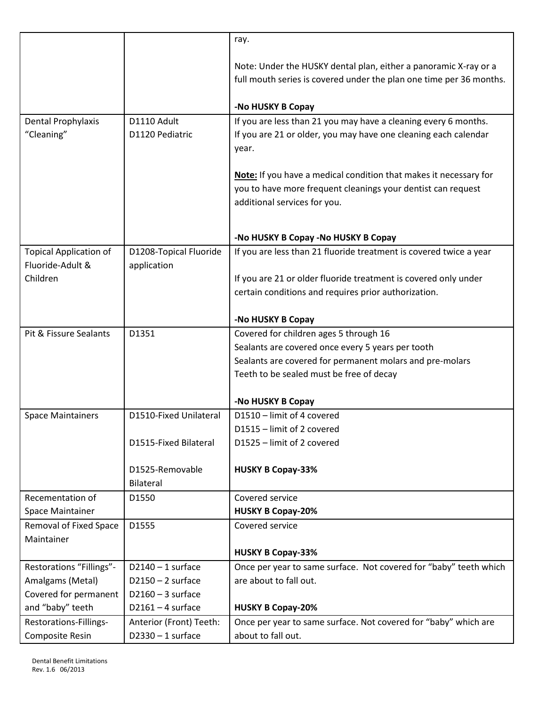|                               |                         | ray.                                                                |
|-------------------------------|-------------------------|---------------------------------------------------------------------|
|                               |                         |                                                                     |
|                               |                         | Note: Under the HUSKY dental plan, either a panoramic X-ray or a    |
|                               |                         | full mouth series is covered under the plan one time per 36 months. |
|                               |                         | -No HUSKY B Copay                                                   |
| Dental Prophylaxis            | D1110 Adult             | If you are less than 21 you may have a cleaning every 6 months.     |
| "Cleaning"                    | D1120 Pediatric         | If you are 21 or older, you may have one cleaning each calendar     |
|                               |                         | year.                                                               |
|                               |                         |                                                                     |
|                               |                         | Note: If you have a medical condition that makes it necessary for   |
|                               |                         | you to have more frequent cleanings your dentist can request        |
|                               |                         | additional services for you.                                        |
|                               |                         |                                                                     |
|                               |                         |                                                                     |
|                               |                         | -No HUSKY B Copay -No HUSKY B Copay                                 |
| <b>Topical Application of</b> | D1208-Topical Fluoride  | If you are less than 21 fluoride treatment is covered twice a year  |
| Fluoride-Adult &              | application             |                                                                     |
| Children                      |                         | If you are 21 or older fluoride treatment is covered only under     |
|                               |                         | certain conditions and requires prior authorization.                |
|                               |                         |                                                                     |
|                               |                         | -No HUSKY B Copay                                                   |
| Pit & Fissure Sealants        | D1351                   | Covered for children ages 5 through 16                              |
|                               |                         | Sealants are covered once every 5 years per tooth                   |
|                               |                         | Sealants are covered for permanent molars and pre-molars            |
|                               |                         | Teeth to be sealed must be free of decay                            |
|                               |                         | -No HUSKY B Copay                                                   |
| <b>Space Maintainers</b>      | D1510-Fixed Unilateral  | D1510 - limit of 4 covered                                          |
|                               |                         | D1515 - limit of 2 covered                                          |
|                               | D1515-Fixed Bilateral   | D1525 - limit of 2 covered                                          |
|                               |                         |                                                                     |
|                               | D1525-Removable         | <b>HUSKY B Copay-33%</b>                                            |
|                               | Bilateral               |                                                                     |
| Recementation of              | D1550                   | Covered service                                                     |
| <b>Space Maintainer</b>       |                         | <b>HUSKY B Copay-20%</b>                                            |
| <b>Removal of Fixed Space</b> | D1555                   | Covered service                                                     |
| Maintainer                    |                         |                                                                     |
|                               |                         | <b>HUSKY B Copay-33%</b>                                            |
| Restorations "Fillings"-      | $D2140 - 1$ surface     | Once per year to same surface. Not covered for "baby" teeth which   |
| Amalgams (Metal)              | $D2150 - 2$ surface     | are about to fall out.                                              |
| Covered for permanent         | $D2160 - 3$ surface     |                                                                     |
| and "baby" teeth              | $D2161 - 4$ surface     | <b>HUSKY B Copay-20%</b>                                            |
| Restorations-Fillings-        | Anterior (Front) Teeth: | Once per year to same surface. Not covered for "baby" which are     |
| Composite Resin               | $D2330 - 1$ surface     | about to fall out.                                                  |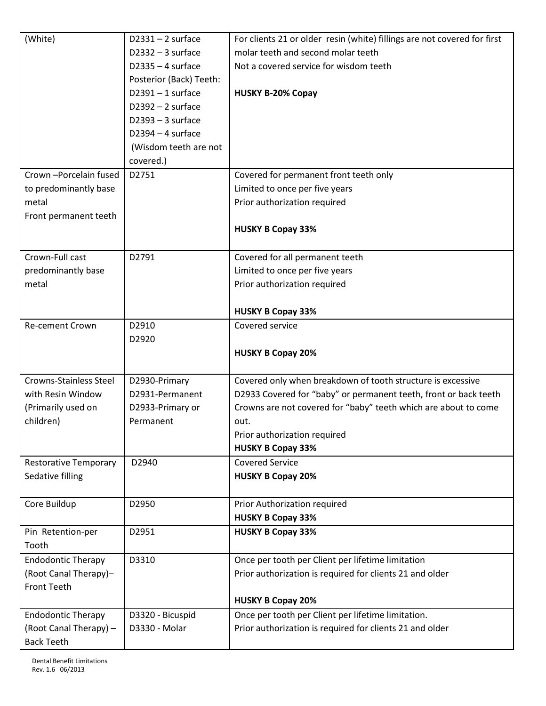| $D2332 - 3$ surface<br>molar teeth and second molar teeth<br>$D2335 - 4$ surface<br>Not a covered service for wisdom teeth<br>Posterior (Back) Teeth:<br>$D2391 - 1$ surface<br><b>HUSKY B-20% Copay</b><br>$D2392 - 2$ surface<br>$D2393 - 3$ surface<br>$D2394 - 4$ surface<br>(Wisdom teeth are not<br>covered.)<br>Crown-Porcelain fused<br>D2751<br>Covered for permanent front teeth only<br>to predominantly base<br>Limited to once per five years<br>metal<br>Prior authorization required<br>Front permanent teeth<br><b>HUSKY B Copay 33%</b><br>Crown-Full cast<br>D2791<br>Covered for all permanent teeth<br>predominantly base<br>Limited to once per five years<br>Prior authorization required<br>metal<br><b>HUSKY B Copay 33%</b><br>D2910<br>Re-cement Crown<br>Covered service<br>D2920<br><b>HUSKY B Copay 20%</b><br><b>Crowns-Stainless Steel</b><br>Covered only when breakdown of tooth structure is excessive<br>D2930-Primary<br>with Resin Window<br>D2931-Permanent<br>D2933 Covered for "baby" or permanent teeth, front or back teeth<br>(Primarily used on<br>Crowns are not covered for "baby" teeth which are about to come<br>D2933-Primary or<br>children)<br>Permanent<br>out.<br>Prior authorization required<br><b>HUSKY B Copay 33%</b><br><b>Covered Service</b><br>D2940<br><b>Restorative Temporary</b><br>Sedative filling<br><b>HUSKY B Copay 20%</b><br>D2950<br>Core Buildup<br>Prior Authorization required<br><b>HUSKY B Copay 33%</b><br>D2951<br><b>HUSKY B Copay 33%</b><br>Pin Retention-per<br>Tooth<br><b>Endodontic Therapy</b><br>D3310<br>Once per tooth per Client per lifetime limitation<br>(Root Canal Therapy)-<br>Prior authorization is required for clients 21 and older<br><b>Front Teeth</b><br><b>HUSKY B Copay 20%</b> | (White)           | $D2331 - 2$ surface | For clients 21 or older resin (white) fillings are not covered for first |
|-----------------------------------------------------------------------------------------------------------------------------------------------------------------------------------------------------------------------------------------------------------------------------------------------------------------------------------------------------------------------------------------------------------------------------------------------------------------------------------------------------------------------------------------------------------------------------------------------------------------------------------------------------------------------------------------------------------------------------------------------------------------------------------------------------------------------------------------------------------------------------------------------------------------------------------------------------------------------------------------------------------------------------------------------------------------------------------------------------------------------------------------------------------------------------------------------------------------------------------------------------------------------------------------------------------------------------------------------------------------------------------------------------------------------------------------------------------------------------------------------------------------------------------------------------------------------------------------------------------------------------------------------------------------------------------------------------------------------------------------------------------------------------------------------|-------------------|---------------------|--------------------------------------------------------------------------|
|                                                                                                                                                                                                                                                                                                                                                                                                                                                                                                                                                                                                                                                                                                                                                                                                                                                                                                                                                                                                                                                                                                                                                                                                                                                                                                                                                                                                                                                                                                                                                                                                                                                                                                                                                                                               |                   |                     |                                                                          |
|                                                                                                                                                                                                                                                                                                                                                                                                                                                                                                                                                                                                                                                                                                                                                                                                                                                                                                                                                                                                                                                                                                                                                                                                                                                                                                                                                                                                                                                                                                                                                                                                                                                                                                                                                                                               |                   |                     |                                                                          |
|                                                                                                                                                                                                                                                                                                                                                                                                                                                                                                                                                                                                                                                                                                                                                                                                                                                                                                                                                                                                                                                                                                                                                                                                                                                                                                                                                                                                                                                                                                                                                                                                                                                                                                                                                                                               |                   |                     |                                                                          |
|                                                                                                                                                                                                                                                                                                                                                                                                                                                                                                                                                                                                                                                                                                                                                                                                                                                                                                                                                                                                                                                                                                                                                                                                                                                                                                                                                                                                                                                                                                                                                                                                                                                                                                                                                                                               |                   |                     |                                                                          |
|                                                                                                                                                                                                                                                                                                                                                                                                                                                                                                                                                                                                                                                                                                                                                                                                                                                                                                                                                                                                                                                                                                                                                                                                                                                                                                                                                                                                                                                                                                                                                                                                                                                                                                                                                                                               |                   |                     |                                                                          |
|                                                                                                                                                                                                                                                                                                                                                                                                                                                                                                                                                                                                                                                                                                                                                                                                                                                                                                                                                                                                                                                                                                                                                                                                                                                                                                                                                                                                                                                                                                                                                                                                                                                                                                                                                                                               |                   |                     |                                                                          |
|                                                                                                                                                                                                                                                                                                                                                                                                                                                                                                                                                                                                                                                                                                                                                                                                                                                                                                                                                                                                                                                                                                                                                                                                                                                                                                                                                                                                                                                                                                                                                                                                                                                                                                                                                                                               |                   |                     |                                                                          |
|                                                                                                                                                                                                                                                                                                                                                                                                                                                                                                                                                                                                                                                                                                                                                                                                                                                                                                                                                                                                                                                                                                                                                                                                                                                                                                                                                                                                                                                                                                                                                                                                                                                                                                                                                                                               |                   |                     |                                                                          |
|                                                                                                                                                                                                                                                                                                                                                                                                                                                                                                                                                                                                                                                                                                                                                                                                                                                                                                                                                                                                                                                                                                                                                                                                                                                                                                                                                                                                                                                                                                                                                                                                                                                                                                                                                                                               |                   |                     |                                                                          |
|                                                                                                                                                                                                                                                                                                                                                                                                                                                                                                                                                                                                                                                                                                                                                                                                                                                                                                                                                                                                                                                                                                                                                                                                                                                                                                                                                                                                                                                                                                                                                                                                                                                                                                                                                                                               |                   |                     |                                                                          |
|                                                                                                                                                                                                                                                                                                                                                                                                                                                                                                                                                                                                                                                                                                                                                                                                                                                                                                                                                                                                                                                                                                                                                                                                                                                                                                                                                                                                                                                                                                                                                                                                                                                                                                                                                                                               |                   |                     |                                                                          |
|                                                                                                                                                                                                                                                                                                                                                                                                                                                                                                                                                                                                                                                                                                                                                                                                                                                                                                                                                                                                                                                                                                                                                                                                                                                                                                                                                                                                                                                                                                                                                                                                                                                                                                                                                                                               |                   |                     |                                                                          |
|                                                                                                                                                                                                                                                                                                                                                                                                                                                                                                                                                                                                                                                                                                                                                                                                                                                                                                                                                                                                                                                                                                                                                                                                                                                                                                                                                                                                                                                                                                                                                                                                                                                                                                                                                                                               |                   |                     |                                                                          |
|                                                                                                                                                                                                                                                                                                                                                                                                                                                                                                                                                                                                                                                                                                                                                                                                                                                                                                                                                                                                                                                                                                                                                                                                                                                                                                                                                                                                                                                                                                                                                                                                                                                                                                                                                                                               |                   |                     |                                                                          |
|                                                                                                                                                                                                                                                                                                                                                                                                                                                                                                                                                                                                                                                                                                                                                                                                                                                                                                                                                                                                                                                                                                                                                                                                                                                                                                                                                                                                                                                                                                                                                                                                                                                                                                                                                                                               |                   |                     |                                                                          |
|                                                                                                                                                                                                                                                                                                                                                                                                                                                                                                                                                                                                                                                                                                                                                                                                                                                                                                                                                                                                                                                                                                                                                                                                                                                                                                                                                                                                                                                                                                                                                                                                                                                                                                                                                                                               |                   |                     |                                                                          |
|                                                                                                                                                                                                                                                                                                                                                                                                                                                                                                                                                                                                                                                                                                                                                                                                                                                                                                                                                                                                                                                                                                                                                                                                                                                                                                                                                                                                                                                                                                                                                                                                                                                                                                                                                                                               |                   |                     |                                                                          |
|                                                                                                                                                                                                                                                                                                                                                                                                                                                                                                                                                                                                                                                                                                                                                                                                                                                                                                                                                                                                                                                                                                                                                                                                                                                                                                                                                                                                                                                                                                                                                                                                                                                                                                                                                                                               |                   |                     |                                                                          |
|                                                                                                                                                                                                                                                                                                                                                                                                                                                                                                                                                                                                                                                                                                                                                                                                                                                                                                                                                                                                                                                                                                                                                                                                                                                                                                                                                                                                                                                                                                                                                                                                                                                                                                                                                                                               |                   |                     |                                                                          |
|                                                                                                                                                                                                                                                                                                                                                                                                                                                                                                                                                                                                                                                                                                                                                                                                                                                                                                                                                                                                                                                                                                                                                                                                                                                                                                                                                                                                                                                                                                                                                                                                                                                                                                                                                                                               |                   |                     |                                                                          |
|                                                                                                                                                                                                                                                                                                                                                                                                                                                                                                                                                                                                                                                                                                                                                                                                                                                                                                                                                                                                                                                                                                                                                                                                                                                                                                                                                                                                                                                                                                                                                                                                                                                                                                                                                                                               |                   |                     |                                                                          |
|                                                                                                                                                                                                                                                                                                                                                                                                                                                                                                                                                                                                                                                                                                                                                                                                                                                                                                                                                                                                                                                                                                                                                                                                                                                                                                                                                                                                                                                                                                                                                                                                                                                                                                                                                                                               |                   |                     |                                                                          |
|                                                                                                                                                                                                                                                                                                                                                                                                                                                                                                                                                                                                                                                                                                                                                                                                                                                                                                                                                                                                                                                                                                                                                                                                                                                                                                                                                                                                                                                                                                                                                                                                                                                                                                                                                                                               |                   |                     |                                                                          |
|                                                                                                                                                                                                                                                                                                                                                                                                                                                                                                                                                                                                                                                                                                                                                                                                                                                                                                                                                                                                                                                                                                                                                                                                                                                                                                                                                                                                                                                                                                                                                                                                                                                                                                                                                                                               |                   |                     |                                                                          |
|                                                                                                                                                                                                                                                                                                                                                                                                                                                                                                                                                                                                                                                                                                                                                                                                                                                                                                                                                                                                                                                                                                                                                                                                                                                                                                                                                                                                                                                                                                                                                                                                                                                                                                                                                                                               |                   |                     |                                                                          |
|                                                                                                                                                                                                                                                                                                                                                                                                                                                                                                                                                                                                                                                                                                                                                                                                                                                                                                                                                                                                                                                                                                                                                                                                                                                                                                                                                                                                                                                                                                                                                                                                                                                                                                                                                                                               |                   |                     |                                                                          |
|                                                                                                                                                                                                                                                                                                                                                                                                                                                                                                                                                                                                                                                                                                                                                                                                                                                                                                                                                                                                                                                                                                                                                                                                                                                                                                                                                                                                                                                                                                                                                                                                                                                                                                                                                                                               |                   |                     |                                                                          |
|                                                                                                                                                                                                                                                                                                                                                                                                                                                                                                                                                                                                                                                                                                                                                                                                                                                                                                                                                                                                                                                                                                                                                                                                                                                                                                                                                                                                                                                                                                                                                                                                                                                                                                                                                                                               |                   |                     |                                                                          |
|                                                                                                                                                                                                                                                                                                                                                                                                                                                                                                                                                                                                                                                                                                                                                                                                                                                                                                                                                                                                                                                                                                                                                                                                                                                                                                                                                                                                                                                                                                                                                                                                                                                                                                                                                                                               |                   |                     |                                                                          |
|                                                                                                                                                                                                                                                                                                                                                                                                                                                                                                                                                                                                                                                                                                                                                                                                                                                                                                                                                                                                                                                                                                                                                                                                                                                                                                                                                                                                                                                                                                                                                                                                                                                                                                                                                                                               |                   |                     |                                                                          |
|                                                                                                                                                                                                                                                                                                                                                                                                                                                                                                                                                                                                                                                                                                                                                                                                                                                                                                                                                                                                                                                                                                                                                                                                                                                                                                                                                                                                                                                                                                                                                                                                                                                                                                                                                                                               |                   |                     |                                                                          |
|                                                                                                                                                                                                                                                                                                                                                                                                                                                                                                                                                                                                                                                                                                                                                                                                                                                                                                                                                                                                                                                                                                                                                                                                                                                                                                                                                                                                                                                                                                                                                                                                                                                                                                                                                                                               |                   |                     |                                                                          |
|                                                                                                                                                                                                                                                                                                                                                                                                                                                                                                                                                                                                                                                                                                                                                                                                                                                                                                                                                                                                                                                                                                                                                                                                                                                                                                                                                                                                                                                                                                                                                                                                                                                                                                                                                                                               |                   |                     |                                                                          |
|                                                                                                                                                                                                                                                                                                                                                                                                                                                                                                                                                                                                                                                                                                                                                                                                                                                                                                                                                                                                                                                                                                                                                                                                                                                                                                                                                                                                                                                                                                                                                                                                                                                                                                                                                                                               |                   |                     |                                                                          |
|                                                                                                                                                                                                                                                                                                                                                                                                                                                                                                                                                                                                                                                                                                                                                                                                                                                                                                                                                                                                                                                                                                                                                                                                                                                                                                                                                                                                                                                                                                                                                                                                                                                                                                                                                                                               |                   |                     |                                                                          |
|                                                                                                                                                                                                                                                                                                                                                                                                                                                                                                                                                                                                                                                                                                                                                                                                                                                                                                                                                                                                                                                                                                                                                                                                                                                                                                                                                                                                                                                                                                                                                                                                                                                                                                                                                                                               |                   |                     |                                                                          |
|                                                                                                                                                                                                                                                                                                                                                                                                                                                                                                                                                                                                                                                                                                                                                                                                                                                                                                                                                                                                                                                                                                                                                                                                                                                                                                                                                                                                                                                                                                                                                                                                                                                                                                                                                                                               |                   |                     |                                                                          |
|                                                                                                                                                                                                                                                                                                                                                                                                                                                                                                                                                                                                                                                                                                                                                                                                                                                                                                                                                                                                                                                                                                                                                                                                                                                                                                                                                                                                                                                                                                                                                                                                                                                                                                                                                                                               |                   |                     |                                                                          |
|                                                                                                                                                                                                                                                                                                                                                                                                                                                                                                                                                                                                                                                                                                                                                                                                                                                                                                                                                                                                                                                                                                                                                                                                                                                                                                                                                                                                                                                                                                                                                                                                                                                                                                                                                                                               |                   |                     |                                                                          |
|                                                                                                                                                                                                                                                                                                                                                                                                                                                                                                                                                                                                                                                                                                                                                                                                                                                                                                                                                                                                                                                                                                                                                                                                                                                                                                                                                                                                                                                                                                                                                                                                                                                                                                                                                                                               |                   |                     |                                                                          |
|                                                                                                                                                                                                                                                                                                                                                                                                                                                                                                                                                                                                                                                                                                                                                                                                                                                                                                                                                                                                                                                                                                                                                                                                                                                                                                                                                                                                                                                                                                                                                                                                                                                                                                                                                                                               |                   |                     |                                                                          |
| <b>Endodontic Therapy</b><br>D3320 - Bicuspid                                                                                                                                                                                                                                                                                                                                                                                                                                                                                                                                                                                                                                                                                                                                                                                                                                                                                                                                                                                                                                                                                                                                                                                                                                                                                                                                                                                                                                                                                                                                                                                                                                                                                                                                                 |                   |                     |                                                                          |
| (Root Canal Therapy) -<br>D3330 - Molar<br>Prior authorization is required for clients 21 and older                                                                                                                                                                                                                                                                                                                                                                                                                                                                                                                                                                                                                                                                                                                                                                                                                                                                                                                                                                                                                                                                                                                                                                                                                                                                                                                                                                                                                                                                                                                                                                                                                                                                                           |                   |                     | Once per tooth per Client per lifetime limitation.                       |
|                                                                                                                                                                                                                                                                                                                                                                                                                                                                                                                                                                                                                                                                                                                                                                                                                                                                                                                                                                                                                                                                                                                                                                                                                                                                                                                                                                                                                                                                                                                                                                                                                                                                                                                                                                                               |                   |                     |                                                                          |
|                                                                                                                                                                                                                                                                                                                                                                                                                                                                                                                                                                                                                                                                                                                                                                                                                                                                                                                                                                                                                                                                                                                                                                                                                                                                                                                                                                                                                                                                                                                                                                                                                                                                                                                                                                                               | <b>Back Teeth</b> |                     |                                                                          |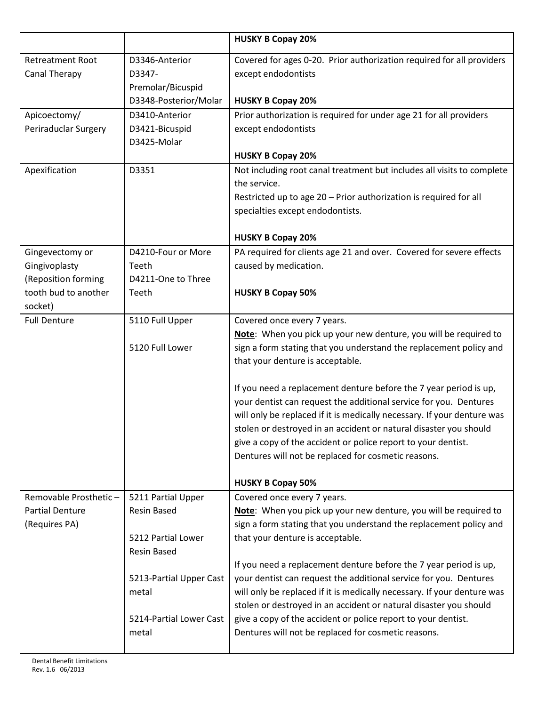|                                             |                             | <b>HUSKY B Copay 20%</b>                                                |
|---------------------------------------------|-----------------------------|-------------------------------------------------------------------------|
| <b>Retreatment Root</b>                     | D3346-Anterior              | Covered for ages 0-20. Prior authorization required for all providers   |
| <b>Canal Therapy</b>                        | D3347-                      | except endodontists                                                     |
|                                             | Premolar/Bicuspid           |                                                                         |
|                                             | D3348-Posterior/Molar       | <b>HUSKY B Copay 20%</b>                                                |
| Apicoectomy/                                | D3410-Anterior              | Prior authorization is required for under age 21 for all providers      |
| Periraduclar Surgery                        | D3421-Bicuspid              | except endodontists                                                     |
|                                             | D3425-Molar                 |                                                                         |
|                                             |                             | <b>HUSKY B Copay 20%</b>                                                |
| Apexification                               | D3351                       | Not including root canal treatment but includes all visits to complete  |
|                                             |                             | the service.                                                            |
|                                             |                             | Restricted up to age 20 - Prior authorization is required for all       |
|                                             |                             | specialties except endodontists.                                        |
|                                             |                             |                                                                         |
|                                             |                             | <b>HUSKY B Copay 20%</b>                                                |
| Gingevectomy or                             | D4210-Four or More          | PA required for clients age 21 and over. Covered for severe effects     |
| Gingivoplasty                               | Teeth<br>D4211-One to Three | caused by medication.                                                   |
| (Reposition forming<br>tooth bud to another | Teeth                       | <b>HUSKY B Copay 50%</b>                                                |
| socket)                                     |                             |                                                                         |
| <b>Full Denture</b>                         | 5110 Full Upper             | Covered once every 7 years.                                             |
|                                             |                             | Note: When you pick up your new denture, you will be required to        |
|                                             | 5120 Full Lower             | sign a form stating that you understand the replacement policy and      |
|                                             |                             | that your denture is acceptable.                                        |
|                                             |                             |                                                                         |
|                                             |                             | If you need a replacement denture before the 7 year period is up,       |
|                                             |                             | your dentist can request the additional service for you. Dentures       |
|                                             |                             | will only be replaced if it is medically necessary. If your denture was |
|                                             |                             | stolen or destroyed in an accident or natural disaster you should       |
|                                             |                             | give a copy of the accident or police report to your dentist.           |
|                                             |                             | Dentures will not be replaced for cosmetic reasons.                     |
|                                             |                             |                                                                         |
|                                             |                             | <b>HUSKY B Copay 50%</b>                                                |
| Removable Prosthetic-                       | 5211 Partial Upper          | Covered once every 7 years.                                             |
| <b>Partial Denture</b>                      | <b>Resin Based</b>          | Note: When you pick up your new denture, you will be required to        |
| (Requires PA)                               |                             | sign a form stating that you understand the replacement policy and      |
|                                             | 5212 Partial Lower          | that your denture is acceptable.                                        |
|                                             | <b>Resin Based</b>          |                                                                         |
|                                             |                             | If you need a replacement denture before the 7 year period is up,       |
|                                             | 5213-Partial Upper Cast     | your dentist can request the additional service for you. Dentures       |
|                                             | metal                       | will only be replaced if it is medically necessary. If your denture was |
|                                             |                             | stolen or destroyed in an accident or natural disaster you should       |
|                                             | 5214-Partial Lower Cast     | give a copy of the accident or police report to your dentist.           |
|                                             | metal                       | Dentures will not be replaced for cosmetic reasons.                     |
|                                             |                             |                                                                         |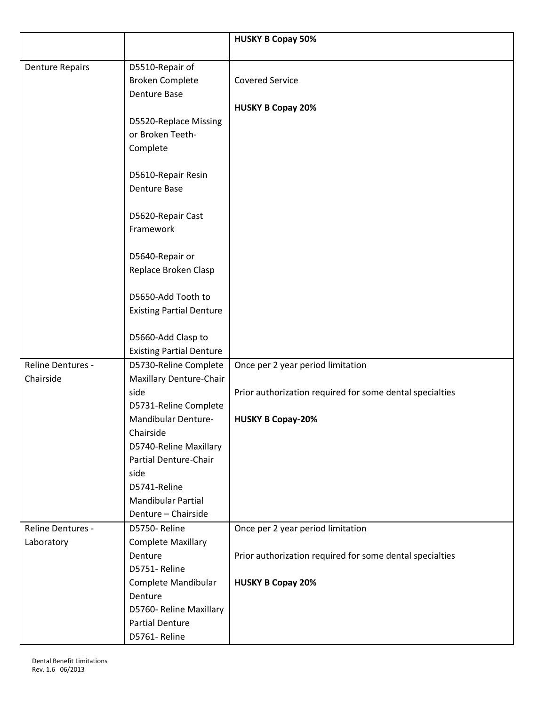|                        |                                         | <b>HUSKY B Copay 50%</b>                                 |
|------------------------|-----------------------------------------|----------------------------------------------------------|
|                        |                                         |                                                          |
| <b>Denture Repairs</b> | D5510-Repair of                         |                                                          |
|                        | <b>Broken Complete</b>                  | <b>Covered Service</b>                                   |
|                        | <b>Denture Base</b>                     |                                                          |
|                        |                                         | <b>HUSKY B Copay 20%</b>                                 |
|                        | D5520-Replace Missing                   |                                                          |
|                        | or Broken Teeth-                        |                                                          |
|                        | Complete                                |                                                          |
|                        |                                         |                                                          |
|                        | D5610-Repair Resin                      |                                                          |
|                        | <b>Denture Base</b>                     |                                                          |
|                        |                                         |                                                          |
|                        | D5620-Repair Cast                       |                                                          |
|                        | Framework                               |                                                          |
|                        |                                         |                                                          |
|                        | D5640-Repair or<br>Replace Broken Clasp |                                                          |
|                        |                                         |                                                          |
|                        | D5650-Add Tooth to                      |                                                          |
|                        | <b>Existing Partial Denture</b>         |                                                          |
|                        |                                         |                                                          |
|                        | D5660-Add Clasp to                      |                                                          |
|                        | <b>Existing Partial Denture</b>         |                                                          |
| Reline Dentures -      | D5730-Reline Complete                   | Once per 2 year period limitation                        |
| Chairside              | Maxillary Denture-Chair                 |                                                          |
|                        | side                                    | Prior authorization required for some dental specialties |
|                        | D5731-Reline Complete                   |                                                          |
|                        | Mandibular Denture-                     | <b>HUSKY B Copay-20%</b>                                 |
|                        | Chairside                               |                                                          |
|                        | D5740-Reline Maxillary                  |                                                          |
|                        | <b>Partial Denture-Chair</b>            |                                                          |
|                        | side                                    |                                                          |
|                        | D5741-Reline                            |                                                          |
|                        | Mandibular Partial                      |                                                          |
|                        | Denture - Chairside                     |                                                          |
| Reline Dentures -      | D5750-Reline                            | Once per 2 year period limitation                        |
| Laboratory             | <b>Complete Maxillary</b>               |                                                          |
|                        | Denture                                 | Prior authorization required for some dental specialties |
|                        | D5751-Reline                            |                                                          |
|                        | Complete Mandibular                     | <b>HUSKY B Copay 20%</b>                                 |
|                        | Denture                                 |                                                          |
|                        | D5760- Reline Maxillary                 |                                                          |
|                        | <b>Partial Denture</b>                  |                                                          |
|                        | D5761-Reline                            |                                                          |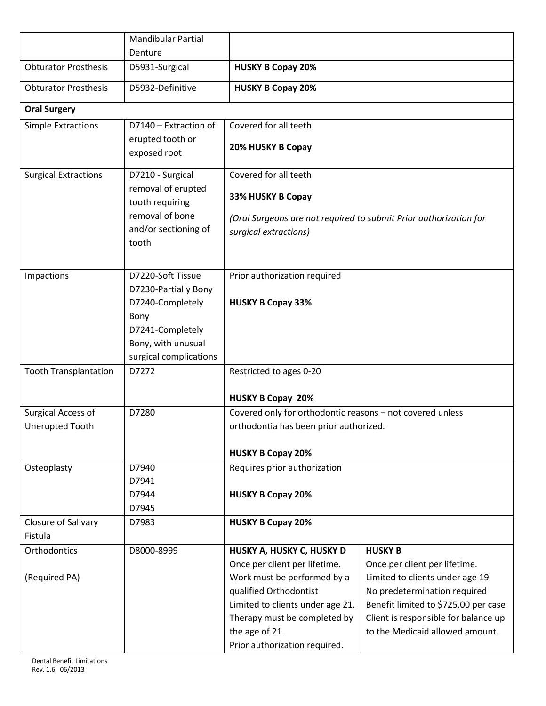|                              | <b>Mandibular Partial</b>             |                                                                   |                                                                  |
|------------------------------|---------------------------------------|-------------------------------------------------------------------|------------------------------------------------------------------|
|                              | Denture                               |                                                                   |                                                                  |
| <b>Obturator Prosthesis</b>  | D5931-Surgical                        | <b>HUSKY B Copay 20%</b>                                          |                                                                  |
| <b>Obturator Prosthesis</b>  | D5932-Definitive                      | <b>HUSKY B Copay 20%</b>                                          |                                                                  |
| <b>Oral Surgery</b>          |                                       |                                                                   |                                                                  |
| <b>Simple Extractions</b>    | D7140 - Extraction of                 | Covered for all teeth                                             |                                                                  |
|                              | erupted tooth or<br>exposed root      | 20% HUSKY B Copay                                                 |                                                                  |
| <b>Surgical Extractions</b>  | D7210 - Surgical                      | Covered for all teeth                                             |                                                                  |
|                              | removal of erupted<br>tooth requiring | 33% HUSKY B Copay                                                 |                                                                  |
|                              | removal of bone                       | (Oral Surgeons are not required to submit Prior authorization for |                                                                  |
|                              | and/or sectioning of                  | surgical extractions)                                             |                                                                  |
|                              | tooth                                 |                                                                   |                                                                  |
|                              |                                       |                                                                   |                                                                  |
| Impactions                   | D7220-Soft Tissue                     | Prior authorization required                                      |                                                                  |
|                              | D7230-Partially Bony                  |                                                                   |                                                                  |
|                              | D7240-Completely                      | <b>HUSKY B Copay 33%</b>                                          |                                                                  |
|                              | Bony                                  |                                                                   |                                                                  |
|                              | D7241-Completely                      |                                                                   |                                                                  |
|                              | Bony, with unusual                    |                                                                   |                                                                  |
|                              | surgical complications                |                                                                   |                                                                  |
| <b>Tooth Transplantation</b> | D7272                                 | Restricted to ages 0-20                                           |                                                                  |
|                              |                                       | <b>HUSKY B Copay 20%</b>                                          |                                                                  |
| <b>Surgical Access of</b>    | D7280                                 | Covered only for orthodontic reasons - not covered unless         |                                                                  |
| <b>Unerupted Tooth</b>       |                                       | orthodontia has been prior authorized.                            |                                                                  |
|                              |                                       |                                                                   |                                                                  |
|                              |                                       | <b>HUSKY B Copay 20%</b>                                          |                                                                  |
| Osteoplasty                  | D7940                                 | Requires prior authorization                                      |                                                                  |
|                              | D7941                                 |                                                                   |                                                                  |
|                              | D7944                                 | <b>HUSKY B Copay 20%</b>                                          |                                                                  |
|                              | D7945                                 |                                                                   |                                                                  |
| Closure of Salivary          | D7983                                 | <b>HUSKY B Copay 20%</b>                                          |                                                                  |
| Fistula                      |                                       |                                                                   |                                                                  |
| Orthodontics                 | D8000-8999                            | HUSKY A, HUSKY C, HUSKY D<br>Once per client per lifetime.        | <b>HUSKY B</b>                                                   |
| (Required PA)                |                                       | Work must be performed by a                                       | Once per client per lifetime.<br>Limited to clients under age 19 |
|                              |                                       | qualified Orthodontist                                            | No predetermination required                                     |
|                              |                                       | Limited to clients under age 21.                                  | Benefit limited to \$725.00 per case                             |
|                              |                                       | Therapy must be completed by                                      | Client is responsible for balance up                             |
|                              |                                       | the age of 21.                                                    | to the Medicaid allowed amount.                                  |
|                              |                                       | Prior authorization required.                                     |                                                                  |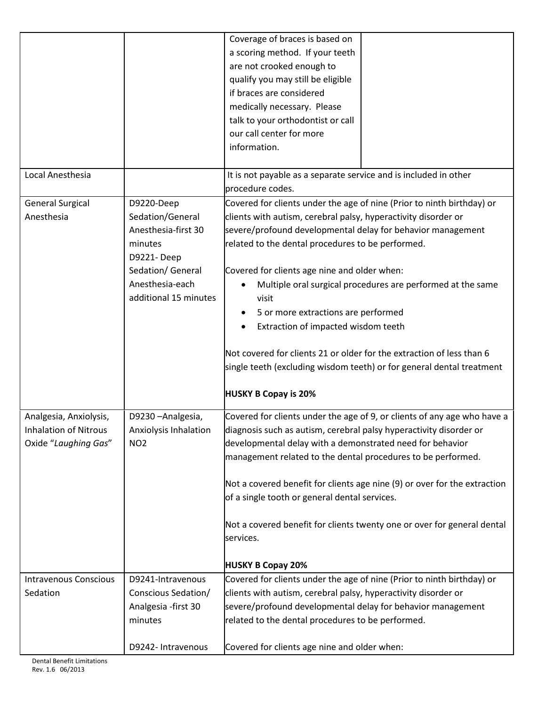|                              |                       | Coverage of braces is based on<br>a scoring method. If your teeth                    |
|------------------------------|-----------------------|--------------------------------------------------------------------------------------|
|                              |                       | are not crooked enough to                                                            |
|                              |                       | qualify you may still be eligible                                                    |
|                              |                       | if braces are considered                                                             |
|                              |                       | medically necessary. Please                                                          |
|                              |                       | talk to your orthodontist or call                                                    |
|                              |                       | our call center for more                                                             |
|                              |                       | information.                                                                         |
|                              |                       |                                                                                      |
| Local Anesthesia             |                       | It is not payable as a separate service and is included in other<br>procedure codes. |
| <b>General Surgical</b>      | D9220-Deep            | Covered for clients under the age of nine (Prior to ninth birthday) or               |
| Anesthesia                   | Sedation/General      | clients with autism, cerebral palsy, hyperactivity disorder or                       |
|                              | Anesthesia-first 30   | severe/profound developmental delay for behavior management                          |
|                              | minutes               | related to the dental procedures to be performed.                                    |
|                              | D9221-Deep            |                                                                                      |
|                              | Sedation/ General     | Covered for clients age nine and older when:                                         |
|                              | Anesthesia-each       | Multiple oral surgical procedures are performed at the same                          |
|                              | additional 15 minutes | visit                                                                                |
|                              |                       | 5 or more extractions are performed                                                  |
|                              |                       | Extraction of impacted wisdom teeth                                                  |
|                              |                       |                                                                                      |
|                              |                       | Not covered for clients 21 or older for the extraction of less than 6                |
|                              |                       | single teeth (excluding wisdom teeth) or for general dental treatment                |
|                              |                       | <b>HUSKY B Copay is 20%</b>                                                          |
| Analgesia, Anxiolysis,       | D9230-Analgesia,      | Covered for clients under the age of 9, or clients of any age who have a             |
| Inhalation of Nitrous        | Anxiolysis Inhalation | diagnosis such as autism, cerebral palsy hyperactivity disorder or                   |
| Oxide "Laughing Gas"         | NO <sub>2</sub>       | developmental delay with a demonstrated need for behavior                            |
|                              |                       | management related to the dental procedures to be performed.                         |
|                              |                       |                                                                                      |
|                              |                       | Not a covered benefit for clients age nine (9) or over for the extraction            |
|                              |                       | of a single tooth or general dental services.                                        |
|                              |                       |                                                                                      |
|                              |                       | Not a covered benefit for clients twenty one or over for general dental              |
|                              |                       | services.                                                                            |
|                              |                       |                                                                                      |
|                              |                       | <b>HUSKY B Copay 20%</b>                                                             |
| <b>Intravenous Conscious</b> | D9241-Intravenous     | Covered for clients under the age of nine (Prior to ninth birthday) or               |
| Sedation                     | Conscious Sedation/   | clients with autism, cerebral palsy, hyperactivity disorder or                       |
|                              | Analgesia - first 30  | severe/profound developmental delay for behavior management                          |
|                              | minutes               | related to the dental procedures to be performed.                                    |
|                              |                       |                                                                                      |
|                              | D9242- Intravenous    | Covered for clients age nine and older when:                                         |